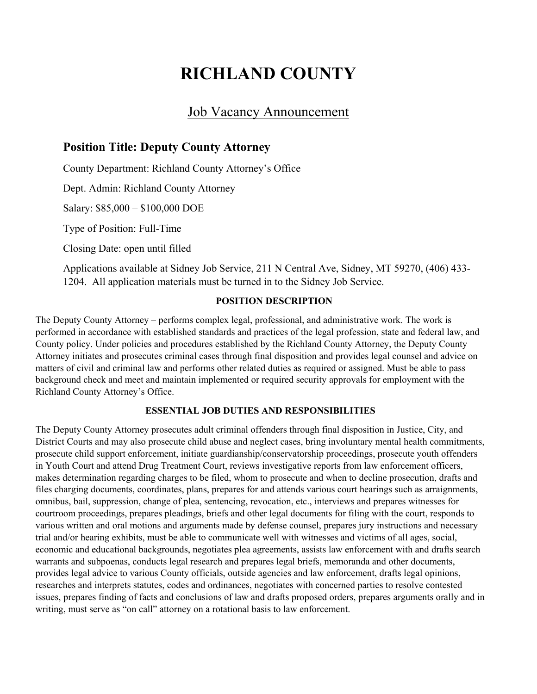# **RICHLAND COUNTY**

# Job Vacancy Announcement

### **Position Title: Deputy County Attorney**

County Department: Richland County Attorney's Office

Dept. Admin: Richland County Attorney

Salary: \$85,000 – \$100,000 DOE

Type of Position: Full-Time

Closing Date: open until filled

Applications available at Sidney Job Service, 211 N Central Ave, Sidney, MT 59270, (406) 433- 1204. All application materials must be turned in to the Sidney Job Service.

#### **POSITION DESCRIPTION**

The Deputy County Attorney – performs complex legal, professional, and administrative work. The work is performed in accordance with established standards and practices of the legal profession, state and federal law, and County policy. Under policies and procedures established by the Richland County Attorney, the Deputy County Attorney initiates and prosecutes criminal cases through final disposition and provides legal counsel and advice on matters of civil and criminal law and performs other related duties as required or assigned. Must be able to pass background check and meet and maintain implemented or required security approvals for employment with the Richland County Attorney's Office.

#### **ESSENTIAL JOB DUTIES AND RESPONSIBILITIES**

The Deputy County Attorney prosecutes adult criminal offenders through final disposition in Justice, City, and District Courts and may also prosecute child abuse and neglect cases, bring involuntary mental health commitments, prosecute child support enforcement, initiate guardianship/conservatorship proceedings, prosecute youth offenders in Youth Court and attend Drug Treatment Court, reviews investigative reports from law enforcement officers, makes determination regarding charges to be filed, whom to prosecute and when to decline prosecution, drafts and files charging documents, coordinates, plans, prepares for and attends various court hearings such as arraignments, omnibus, bail, suppression, change of plea, sentencing, revocation, etc., interviews and prepares witnesses for courtroom proceedings, prepares pleadings, briefs and other legal documents for filing with the court, responds to various written and oral motions and arguments made by defense counsel, prepares jury instructions and necessary trial and/or hearing exhibits, must be able to communicate well with witnesses and victims of all ages, social, economic and educational backgrounds, negotiates plea agreements, assists law enforcement with and drafts search warrants and subpoenas, conducts legal research and prepares legal briefs, memoranda and other documents, provides legal advice to various County officials, outside agencies and law enforcement, drafts legal opinions, researches and interprets statutes, codes and ordinances, negotiates with concerned parties to resolve contested issues, prepares finding of facts and conclusions of law and drafts proposed orders, prepares arguments orally and in writing, must serve as "on call" attorney on a rotational basis to law enforcement.